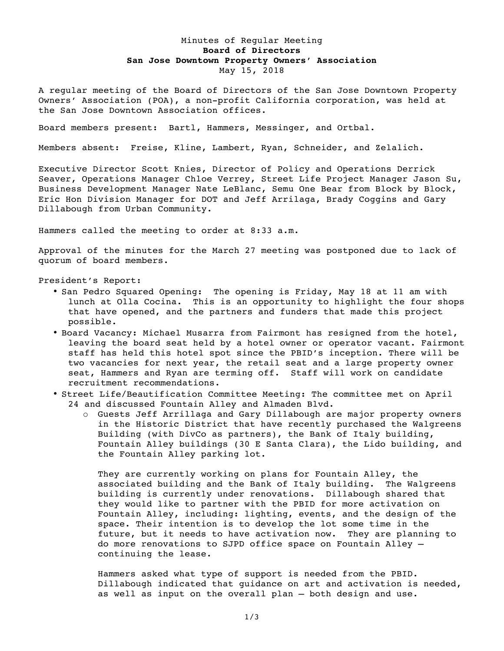## Minutes of Regular Meeting **Board of Directors San Jose Downtown Property Owners' Association** May 15, 2018

A regular meeting of the Board of Directors of the San Jose Downtown Property Owners' Association (POA), a non-profit California corporation, was held at the San Jose Downtown Association offices.

Board members present: Bartl, Hammers, Messinger, and Ortbal.

Members absent: Freise, Kline, Lambert, Ryan, Schneider, and Zelalich.

Executive Director Scott Knies, Director of Policy and Operations Derrick Seaver, Operations Manager Chloe Verrey, Street Life Project Manager Jason Su, Business Development Manager Nate LeBlanc, Semu One Bear from Block by Block, Eric Hon Division Manager for DOT and Jeff Arrilaga, Brady Coggins and Gary Dillabough from Urban Community.

Hammers called the meeting to order at 8:33 a.m.

Approval of the minutes for the March 27 meeting was postponed due to lack of quorum of board members.

President's Report:

- San Pedro Squared Opening: The opening is Friday, May 18 at 11 am with lunch at Olla Cocina. This is an opportunity to highlight the four shops that have opened, and the partners and funders that made this project possible.
- Board Vacancy: Michael Musarra from Fairmont has resigned from the hotel, leaving the board seat held by a hotel owner or operator vacant. Fairmont staff has held this hotel spot since the PBID's inception. There will be two vacancies for next year, the retail seat and a large property owner seat, Hammers and Ryan are terming off. Staff will work on candidate recruitment recommendations.
- Street Life/Beautification Committee Meeting: The committee met on April 24 and discussed Fountain Alley and Almaden Blvd.
	- o Guests Jeff Arrillaga and Gary Dillabough are major property owners in the Historic District that have recently purchased the Walgreens Building (with DivCo as partners), the Bank of Italy building, Fountain Alley buildings (30 E Santa Clara), the Lido building, and the Fountain Alley parking lot.

They are currently working on plans for Fountain Alley, the associated building and the Bank of Italy building. The Walgreens building is currently under renovations. Dillabough shared that they would like to partner with the PBID for more activation on Fountain Alley, including: lighting, events, and the design of the space. Their intention is to develop the lot some time in the future, but it needs to have activation now. They are planning to do more renovations to SJPD office space on Fountain Alley – continuing the lease.

Hammers asked what type of support is needed from the PBID. Dillabough indicated that guidance on art and activation is needed, as well as input on the overall plan – both design and use.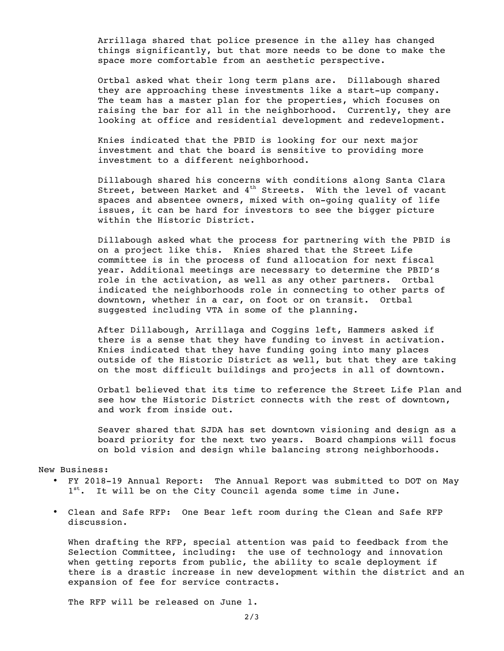Arrillaga shared that police presence in the alley has changed things significantly, but that more needs to be done to make the space more comfortable from an aesthetic perspective.

Ortbal asked what their long term plans are. Dillabough shared they are approaching these investments like a start-up company. The team has a master plan for the properties, which focuses on raising the bar for all in the neighborhood. Currently, they are looking at office and residential development and redevelopment.

Knies indicated that the PBID is looking for our next major investment and that the board is sensitive to providing more investment to a different neighborhood.

Dillabough shared his concerns with conditions along Santa Clara Street, between Market and 4<sup>th</sup> Streets. With the level of vacant spaces and absentee owners, mixed with on-going quality of life issues, it can be hard for investors to see the bigger picture within the Historic District.

Dillabough asked what the process for partnering with the PBID is on a project like this. Knies shared that the Street Life committee is in the process of fund allocation for next fiscal year. Additional meetings are necessary to determine the PBID's role in the activation, as well as any other partners. Ortbal indicated the neighborhoods role in connecting to other parts of downtown, whether in a car, on foot or on transit. Ortbal suggested including VTA in some of the planning.

After Dillabough, Arrillaga and Coggins left, Hammers asked if there is a sense that they have funding to invest in activation. Knies indicated that they have funding going into many places outside of the Historic District as well, but that they are taking on the most difficult buildings and projects in all of downtown.

Orbatl believed that its time to reference the Street Life Plan and see how the Historic District connects with the rest of downtown, and work from inside out.

Seaver shared that SJDA has set downtown visioning and design as a board priority for the next two years. Board champions will focus on bold vision and design while balancing strong neighborhoods.

New Business:

- FY 2018-19 Annual Report: The Annual Report was submitted to DOT on May 1<sup>st</sup>. It will be on the City Council agenda some time in June.
- Clean and Safe RFP: One Bear left room during the Clean and Safe RFP discussion.

When drafting the RFP, special attention was paid to feedback from the Selection Committee, including: the use of technology and innovation when getting reports from public, the ability to scale deployment if there is a drastic increase in new development within the district and an expansion of fee for service contracts.

The RFP will be released on June 1.